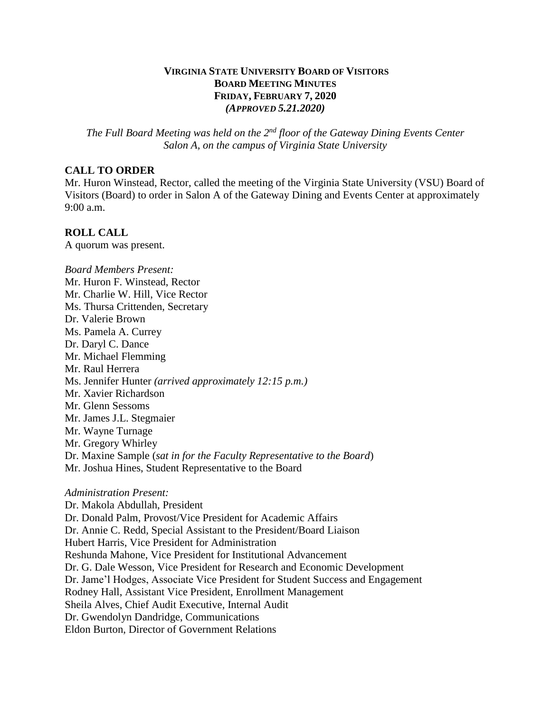# **VIRGINIA STATE UNIVERSITY BOARD OF VISITORS BOARD MEETING MINUTES FRIDAY, FEBRUARY 7, 2020** *(APPROVED 5.21.2020)*

*The Full Board Meeting was held on the 2nd floor of the Gateway Dining Events Center Salon A, on the campus of Virginia State University*

### **CALL TO ORDER**

Mr. Huron Winstead, Rector, called the meeting of the Virginia State University (VSU) Board of Visitors (Board) to order in Salon A of the Gateway Dining and Events Center at approximately 9:00 a.m.

## **ROLL CALL**

A quorum was present.

*Board Members Present:* Mr. Huron F. Winstead, Rector Mr. Charlie W. Hill, Vice Rector Ms. Thursa Crittenden, Secretary Dr. Valerie Brown Ms. Pamela A. Currey Dr. Daryl C. Dance Mr. Michael Flemming Mr. Raul Herrera Ms. Jennifer Hunter *(arrived approximately 12:15 p.m.)* Mr. Xavier Richardson Mr. Glenn Sessoms Mr. James J.L. Stegmaier Mr. Wayne Turnage Mr. Gregory Whirley Dr. Maxine Sample (*sat in for the Faculty Representative to the Board*) Mr. Joshua Hines, Student Representative to the Board

### *Administration Present:*

Dr. Makola Abdullah, President Dr. Donald Palm, Provost/Vice President for Academic Affairs Dr. Annie C. Redd, Special Assistant to the President/Board Liaison Hubert Harris, Vice President for Administration Reshunda Mahone, Vice President for Institutional Advancement Dr. G. Dale Wesson, Vice President for Research and Economic Development Dr. Jame'l Hodges, Associate Vice President for Student Success and Engagement Rodney Hall, Assistant Vice President, Enrollment Management Sheila Alves, Chief Audit Executive, Internal Audit Dr. Gwendolyn Dandridge, Communications Eldon Burton, Director of Government Relations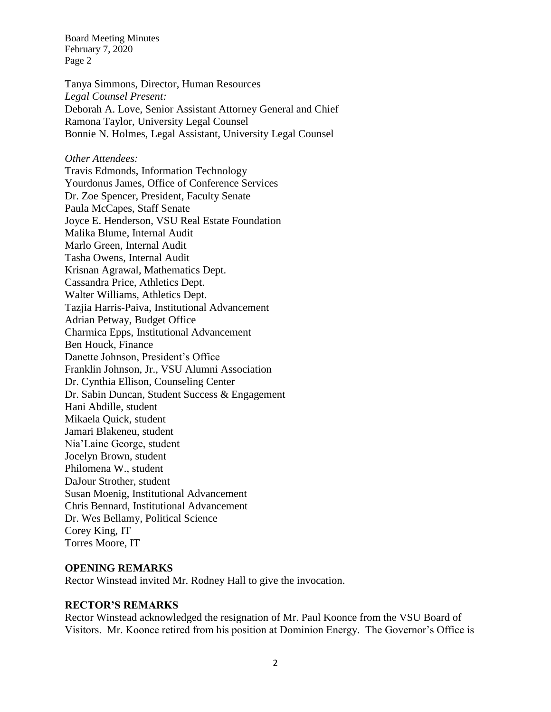Tanya Simmons, Director, Human Resources *Legal Counsel Present:* Deborah A. Love, Senior Assistant Attorney General and Chief Ramona Taylor, University Legal Counsel Bonnie N. Holmes, Legal Assistant, University Legal Counsel

### *Other Attendees:*

Travis Edmonds, Information Technology Yourdonus James, Office of Conference Services Dr. Zoe Spencer, President, Faculty Senate Paula McCapes, Staff Senate Joyce E. Henderson, VSU Real Estate Foundation Malika Blume, Internal Audit Marlo Green, Internal Audit Tasha Owens, Internal Audit Krisnan Agrawal, Mathematics Dept. Cassandra Price, Athletics Dept. Walter Williams, Athletics Dept. Tazjia Harris-Paiva, Institutional Advancement Adrian Petway, Budget Office Charmica Epps, Institutional Advancement Ben Houck, Finance Danette Johnson, President's Office Franklin Johnson, Jr., VSU Alumni Association Dr. Cynthia Ellison, Counseling Center Dr. Sabin Duncan, Student Success & Engagement Hani Abdille, student Mikaela Quick, student Jamari Blakeneu, student Nia'Laine George, student Jocelyn Brown, student Philomena W., student DaJour Strother, student Susan Moenig, Institutional Advancement Chris Bennard, Institutional Advancement Dr. Wes Bellamy, Political Science Corey King, IT Torres Moore, IT

## **OPENING REMARKS**

Rector Winstead invited Mr. Rodney Hall to give the invocation.

## **RECTOR'S REMARKS**

Rector Winstead acknowledged the resignation of Mr. Paul Koonce from the VSU Board of Visitors. Mr. Koonce retired from his position at Dominion Energy. The Governor's Office is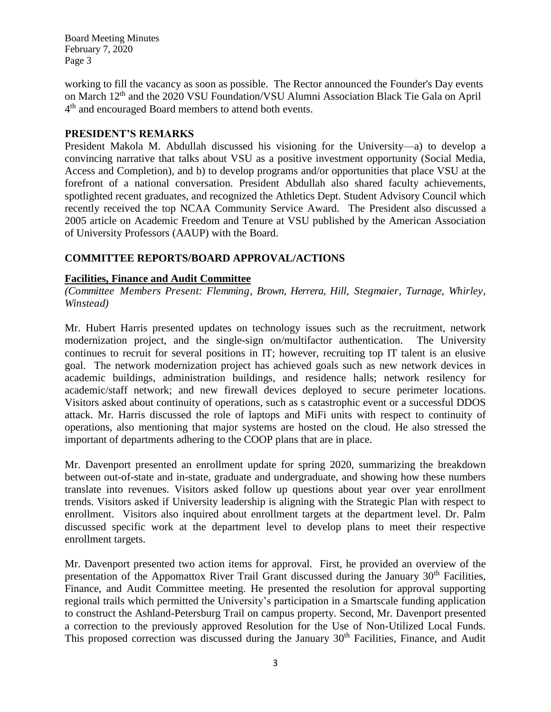working to fill the vacancy as soon as possible. The Rector announced the Founder's Day events on March 12th and the 2020 VSU Foundation/VSU Alumni Association Black Tie Gala on April 4<sup>th</sup> and encouraged Board members to attend both events.

## **PRESIDENT'S REMARKS**

President Makola M. Abdullah discussed his visioning for the University—a) to develop a convincing narrative that talks about VSU as a positive investment opportunity (Social Media, Access and Completion), and b) to develop programs and/or opportunities that place VSU at the forefront of a national conversation. President Abdullah also shared faculty achievements, spotlighted recent graduates, and recognized the Athletics Dept. Student Advisory Council which recently received the top NCAA Community Service Award. The President also discussed a 2005 article on Academic Freedom and Tenure at VSU published by the American Association of University Professors (AAUP) with the Board.

# **COMMITTEE REPORTS/BOARD APPROVAL/ACTIONS**

## **Facilities, Finance and Audit Committee**

*(Committee Members Present: Flemming, Brown, Herrera, Hill, Stegmaier, Turnage, Whirley, Winstead)*

Mr. Hubert Harris presented updates on technology issues such as the recruitment, network modernization project, and the single-sign on/multifactor authentication. The University continues to recruit for several positions in IT; however, recruiting top IT talent is an elusive goal. The network modernization project has achieved goals such as new network devices in academic buildings, administration buildings, and residence halls; network resilency for academic/staff network; and new firewall devices deployed to secure perimeter locations. Visitors asked about continuity of operations, such as s catastrophic event or a successful DDOS attack. Mr. Harris discussed the role of laptops and MiFi units with respect to continuity of operations, also mentioning that major systems are hosted on the cloud. He also stressed the important of departments adhering to the COOP plans that are in place.

Mr. Davenport presented an enrollment update for spring 2020, summarizing the breakdown between out-of-state and in-state, graduate and undergraduate, and showing how these numbers translate into revenues. Visitors asked follow up questions about year over year enrollment trends. Visitors asked if University leadership is aligning with the Strategic Plan with respect to enrollment. Visitors also inquired about enrollment targets at the department level. Dr. Palm discussed specific work at the department level to develop plans to meet their respective enrollment targets.

Mr. Davenport presented two action items for approval. First, he provided an overview of the presentation of the Appomattox River Trail Grant discussed during the January  $30<sup>th</sup>$  Facilities, Finance, and Audit Committee meeting. He presented the resolution for approval supporting regional trails which permitted the University's participation in a Smartscale funding application to construct the Ashland-Petersburg Trail on campus property. Second, Mr. Davenport presented a correction to the previously approved Resolution for the Use of Non-Utilized Local Funds. This proposed correction was discussed during the January 30<sup>th</sup> Facilities, Finance, and Audit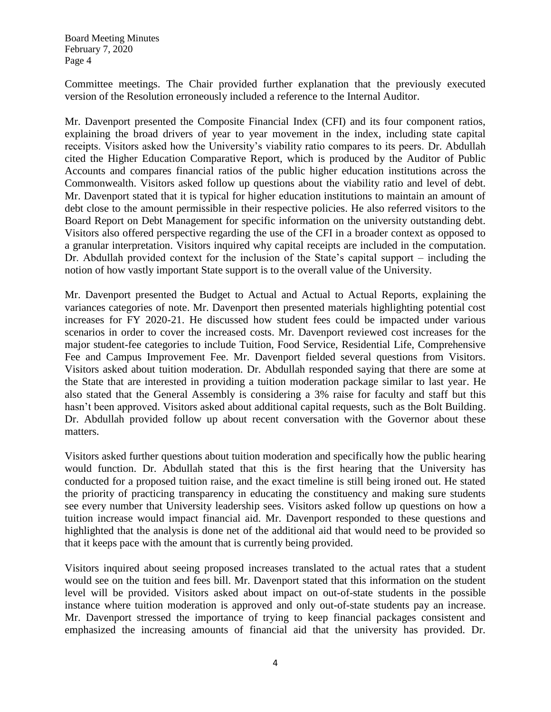Committee meetings. The Chair provided further explanation that the previously executed version of the Resolution erroneously included a reference to the Internal Auditor.

Mr. Davenport presented the Composite Financial Index (CFI) and its four component ratios, explaining the broad drivers of year to year movement in the index, including state capital receipts. Visitors asked how the University's viability ratio compares to its peers. Dr. Abdullah cited the Higher Education Comparative Report, which is produced by the Auditor of Public Accounts and compares financial ratios of the public higher education institutions across the Commonwealth. Visitors asked follow up questions about the viability ratio and level of debt. Mr. Davenport stated that it is typical for higher education institutions to maintain an amount of debt close to the amount permissible in their respective policies. He also referred visitors to the Board Report on Debt Management for specific information on the university outstanding debt. Visitors also offered perspective regarding the use of the CFI in a broader context as opposed to a granular interpretation. Visitors inquired why capital receipts are included in the computation. Dr. Abdullah provided context for the inclusion of the State's capital support – including the notion of how vastly important State support is to the overall value of the University.

Mr. Davenport presented the Budget to Actual and Actual to Actual Reports, explaining the variances categories of note. Mr. Davenport then presented materials highlighting potential cost increases for FY 2020-21. He discussed how student fees could be impacted under various scenarios in order to cover the increased costs. Mr. Davenport reviewed cost increases for the major student-fee categories to include Tuition, Food Service, Residential Life, Comprehensive Fee and Campus Improvement Fee. Mr. Davenport fielded several questions from Visitors. Visitors asked about tuition moderation. Dr. Abdullah responded saying that there are some at the State that are interested in providing a tuition moderation package similar to last year. He also stated that the General Assembly is considering a 3% raise for faculty and staff but this hasn't been approved. Visitors asked about additional capital requests, such as the Bolt Building. Dr. Abdullah provided follow up about recent conversation with the Governor about these matters.

Visitors asked further questions about tuition moderation and specifically how the public hearing would function. Dr. Abdullah stated that this is the first hearing that the University has conducted for a proposed tuition raise, and the exact timeline is still being ironed out. He stated the priority of practicing transparency in educating the constituency and making sure students see every number that University leadership sees. Visitors asked follow up questions on how a tuition increase would impact financial aid. Mr. Davenport responded to these questions and highlighted that the analysis is done net of the additional aid that would need to be provided so that it keeps pace with the amount that is currently being provided.

Visitors inquired about seeing proposed increases translated to the actual rates that a student would see on the tuition and fees bill. Mr. Davenport stated that this information on the student level will be provided. Visitors asked about impact on out-of-state students in the possible instance where tuition moderation is approved and only out-of-state students pay an increase. Mr. Davenport stressed the importance of trying to keep financial packages consistent and emphasized the increasing amounts of financial aid that the university has provided. Dr.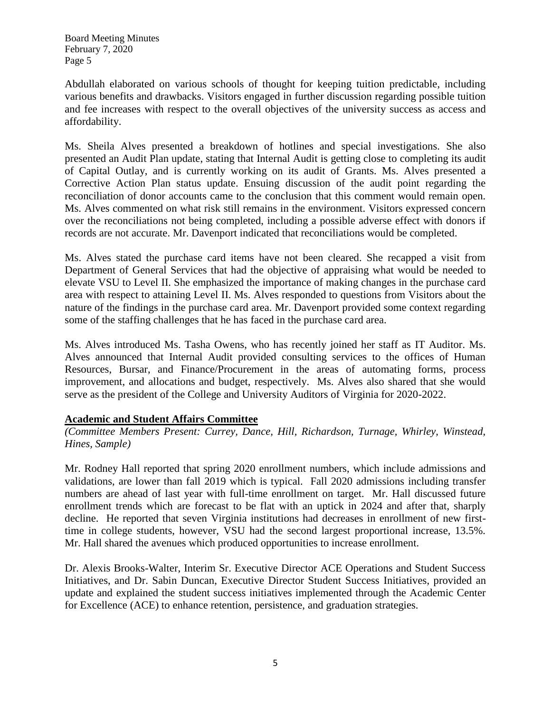Abdullah elaborated on various schools of thought for keeping tuition predictable, including various benefits and drawbacks. Visitors engaged in further discussion regarding possible tuition and fee increases with respect to the overall objectives of the university success as access and affordability.

Ms. Sheila Alves presented a breakdown of hotlines and special investigations. She also presented an Audit Plan update, stating that Internal Audit is getting close to completing its audit of Capital Outlay, and is currently working on its audit of Grants. Ms. Alves presented a Corrective Action Plan status update. Ensuing discussion of the audit point regarding the reconciliation of donor accounts came to the conclusion that this comment would remain open. Ms. Alves commented on what risk still remains in the environment. Visitors expressed concern over the reconciliations not being completed, including a possible adverse effect with donors if records are not accurate. Mr. Davenport indicated that reconciliations would be completed.

Ms. Alves stated the purchase card items have not been cleared. She recapped a visit from Department of General Services that had the objective of appraising what would be needed to elevate VSU to Level II. She emphasized the importance of making changes in the purchase card area with respect to attaining Level II. Ms. Alves responded to questions from Visitors about the nature of the findings in the purchase card area. Mr. Davenport provided some context regarding some of the staffing challenges that he has faced in the purchase card area.

Ms. Alves introduced Ms. Tasha Owens, who has recently joined her staff as IT Auditor. Ms. Alves announced that Internal Audit provided consulting services to the offices of Human Resources, Bursar, and Finance/Procurement in the areas of automating forms, process improvement, and allocations and budget, respectively. Ms. Alves also shared that she would serve as the president of the College and University Auditors of Virginia for 2020-2022.

## **Academic and Student Affairs Committee**

*(Committee Members Present: Currey, Dance, Hill, Richardson, Turnage, Whirley, Winstead, Hines, Sample)*

Mr. Rodney Hall reported that spring 2020 enrollment numbers, which include admissions and validations, are lower than fall 2019 which is typical. Fall 2020 admissions including transfer numbers are ahead of last year with full-time enrollment on target. Mr. Hall discussed future enrollment trends which are forecast to be flat with an uptick in 2024 and after that, sharply decline. He reported that seven Virginia institutions had decreases in enrollment of new firsttime in college students, however, VSU had the second largest proportional increase, 13.5%. Mr. Hall shared the avenues which produced opportunities to increase enrollment.

Dr. Alexis Brooks-Walter, Interim Sr. Executive Director ACE Operations and Student Success Initiatives, and Dr. Sabin Duncan, Executive Director Student Success Initiatives, provided an update and explained the student success initiatives implemented through the Academic Center for Excellence (ACE) to enhance retention, persistence, and graduation strategies.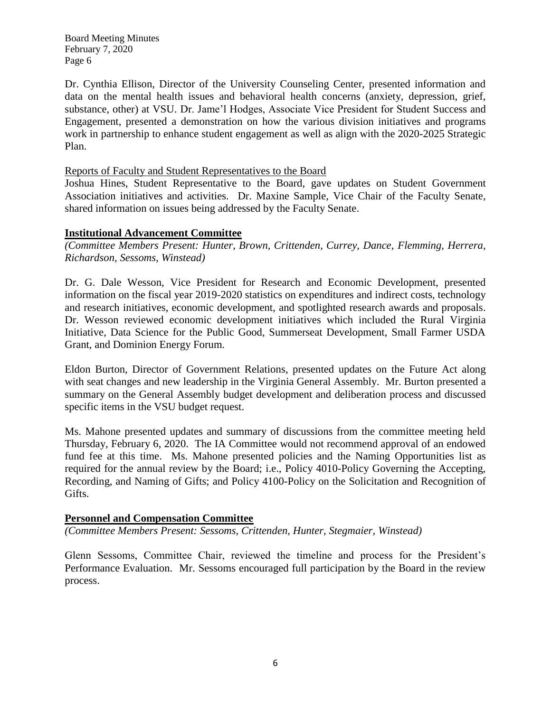Dr. Cynthia Ellison, Director of the University Counseling Center, presented information and data on the mental health issues and behavioral health concerns (anxiety, depression, grief, substance, other) at VSU. Dr. Jame'l Hodges, Associate Vice President for Student Success and Engagement, presented a demonstration on how the various division initiatives and programs work in partnership to enhance student engagement as well as align with the 2020-2025 Strategic Plan.

### Reports of Faculty and Student Representatives to the Board

Joshua Hines, Student Representative to the Board, gave updates on Student Government Association initiatives and activities. Dr. Maxine Sample, Vice Chair of the Faculty Senate, shared information on issues being addressed by the Faculty Senate.

## **Institutional Advancement Committee**

*(Committee Members Present: Hunter, Brown, Crittenden, Currey, Dance, Flemming, Herrera, Richardson, Sessoms, Winstead)*

Dr. G. Dale Wesson, Vice President for Research and Economic Development, presented information on the fiscal year 2019-2020 statistics on expenditures and indirect costs, technology and research initiatives, economic development, and spotlighted research awards and proposals. Dr. Wesson reviewed economic development initiatives which included the Rural Virginia Initiative, Data Science for the Public Good, Summerseat Development, Small Farmer USDA Grant, and Dominion Energy Forum.

Eldon Burton, Director of Government Relations, presented updates on the Future Act along with seat changes and new leadership in the Virginia General Assembly. Mr. Burton presented a summary on the General Assembly budget development and deliberation process and discussed specific items in the VSU budget request.

Ms. Mahone presented updates and summary of discussions from the committee meeting held Thursday, February 6, 2020. The IA Committee would not recommend approval of an endowed fund fee at this time. Ms. Mahone presented policies and the Naming Opportunities list as required for the annual review by the Board; i.e., Policy 4010-Policy Governing the Accepting, Recording, and Naming of Gifts; and Policy 4100-Policy on the Solicitation and Recognition of Gifts.

## **Personnel and Compensation Committee**

*(Committee Members Present: Sessoms, Crittenden, Hunter, Stegmaier, Winstead)*

Glenn Sessoms, Committee Chair, reviewed the timeline and process for the President's Performance Evaluation. Mr. Sessoms encouraged full participation by the Board in the review process.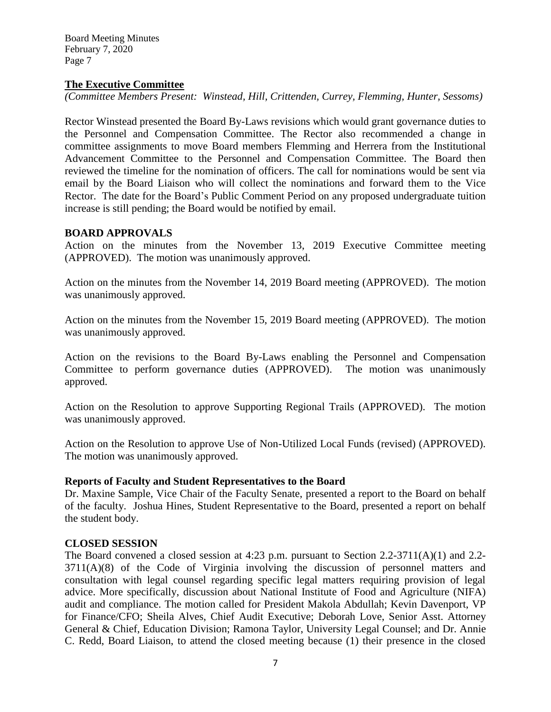### **The Executive Committee**

*(Committee Members Present: Winstead, Hill, Crittenden, Currey, Flemming, Hunter, Sessoms)*

Rector Winstead presented the Board By-Laws revisions which would grant governance duties to the Personnel and Compensation Committee. The Rector also recommended a change in committee assignments to move Board members Flemming and Herrera from the Institutional Advancement Committee to the Personnel and Compensation Committee. The Board then reviewed the timeline for the nomination of officers. The call for nominations would be sent via email by the Board Liaison who will collect the nominations and forward them to the Vice Rector. The date for the Board's Public Comment Period on any proposed undergraduate tuition increase is still pending; the Board would be notified by email.

## **BOARD APPROVALS**

Action on the minutes from the November 13, 2019 Executive Committee meeting (APPROVED). The motion was unanimously approved.

Action on the minutes from the November 14, 2019 Board meeting (APPROVED). The motion was unanimously approved.

Action on the minutes from the November 15, 2019 Board meeting (APPROVED). The motion was unanimously approved.

Action on the revisions to the Board By-Laws enabling the Personnel and Compensation Committee to perform governance duties (APPROVED). The motion was unanimously approved.

Action on the Resolution to approve Supporting Regional Trails (APPROVED). The motion was unanimously approved.

Action on the Resolution to approve Use of Non-Utilized Local Funds (revised) (APPROVED). The motion was unanimously approved.

### **Reports of Faculty and Student Representatives to the Board**

Dr. Maxine Sample, Vice Chair of the Faculty Senate, presented a report to the Board on behalf of the faculty. Joshua Hines, Student Representative to the Board, presented a report on behalf the student body.

## **CLOSED SESSION**

The Board convened a closed session at 4:23 p.m. pursuant to Section 2.2-3711(A)(1) and 2.2- 3711(A)(8) of the Code of Virginia involving the discussion of personnel matters and consultation with legal counsel regarding specific legal matters requiring provision of legal advice. More specifically, discussion about National Institute of Food and Agriculture (NIFA) audit and compliance. The motion called for President Makola Abdullah; Kevin Davenport, VP for Finance/CFO; Sheila Alves, Chief Audit Executive; Deborah Love, Senior Asst. Attorney General & Chief, Education Division; Ramona Taylor, University Legal Counsel; and Dr. Annie C. Redd, Board Liaison, to attend the closed meeting because (1) their presence in the closed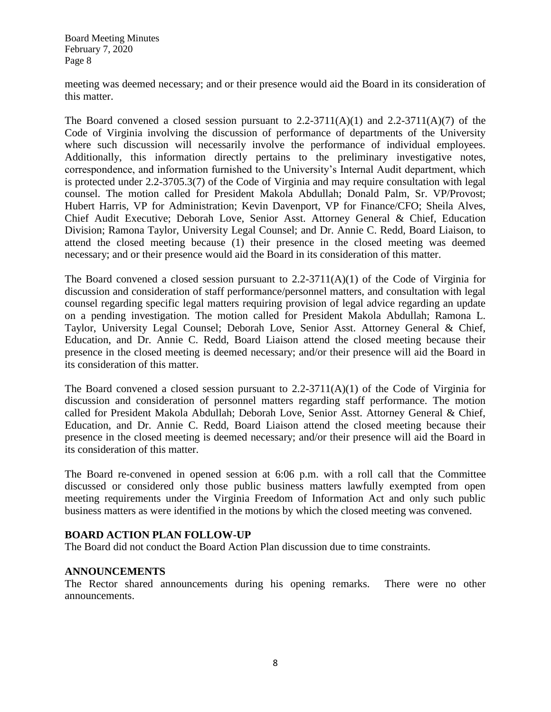meeting was deemed necessary; and or their presence would aid the Board in its consideration of this matter.

The Board convened a closed session pursuant to  $2.2\n-3711(A)(1)$  and  $2.2\n-3711(A)(7)$  of the Code of Virginia involving the discussion of performance of departments of the University where such discussion will necessarily involve the performance of individual employees. Additionally, this information directly pertains to the preliminary investigative notes, correspondence, and information furnished to the University's Internal Audit department, which is protected under 2.2-3705.3(7) of the Code of Virginia and may require consultation with legal counsel. The motion called for President Makola Abdullah; Donald Palm, Sr. VP/Provost; Hubert Harris, VP for Administration; Kevin Davenport, VP for Finance/CFO; Sheila Alves, Chief Audit Executive; Deborah Love, Senior Asst. Attorney General & Chief, Education Division; Ramona Taylor, University Legal Counsel; and Dr. Annie C. Redd, Board Liaison, to attend the closed meeting because (1) their presence in the closed meeting was deemed necessary; and or their presence would aid the Board in its consideration of this matter.

The Board convened a closed session pursuant to  $2.2\n-3711(A)(1)$  of the Code of Virginia for discussion and consideration of staff performance/personnel matters, and consultation with legal counsel regarding specific legal matters requiring provision of legal advice regarding an update on a pending investigation. The motion called for President Makola Abdullah; Ramona L. Taylor, University Legal Counsel; Deborah Love, Senior Asst. Attorney General & Chief, Education, and Dr. Annie C. Redd, Board Liaison attend the closed meeting because their presence in the closed meeting is deemed necessary; and/or their presence will aid the Board in its consideration of this matter.

The Board convened a closed session pursuant to  $2.2\n-3711(A)(1)$  of the Code of Virginia for discussion and consideration of personnel matters regarding staff performance. The motion called for President Makola Abdullah; Deborah Love, Senior Asst. Attorney General & Chief, Education, and Dr. Annie C. Redd, Board Liaison attend the closed meeting because their presence in the closed meeting is deemed necessary; and/or their presence will aid the Board in its consideration of this matter.

The Board re-convened in opened session at 6:06 p.m. with a roll call that the Committee discussed or considered only those public business matters lawfully exempted from open meeting requirements under the Virginia Freedom of Information Act and only such public business matters as were identified in the motions by which the closed meeting was convened.

## **BOARD ACTION PLAN FOLLOW-UP**

The Board did not conduct the Board Action Plan discussion due to time constraints.

## **ANNOUNCEMENTS**

The Rector shared announcements during his opening remarks. There were no other announcements.